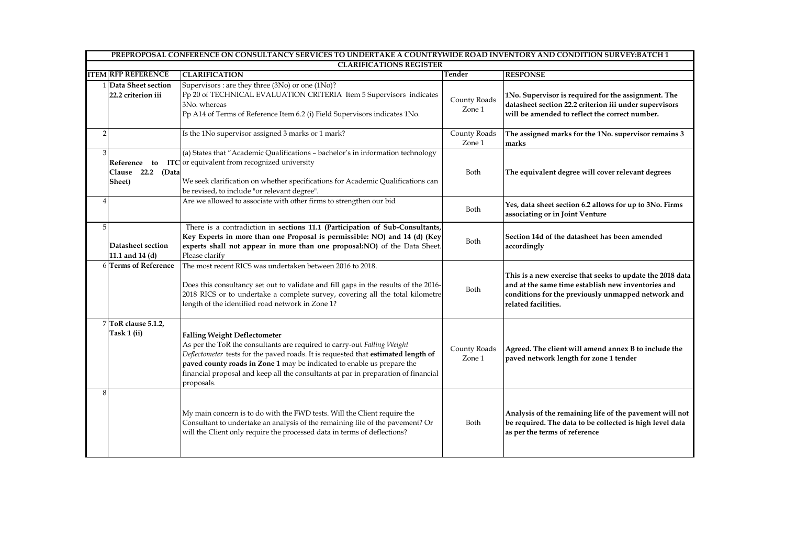|                | PREPROPOSAL CONFERENCE ON CONSULTANCY SERVICES TO UNDERTAKE A COUNTRYWIDE ROAD INVENTORY AND CONDITION SURVEY:BATCH 1 |                                                                                                                                                                                                                                                                                                                                                                                   |                        |                                                                                                                                                                                              |  |  |
|----------------|-----------------------------------------------------------------------------------------------------------------------|-----------------------------------------------------------------------------------------------------------------------------------------------------------------------------------------------------------------------------------------------------------------------------------------------------------------------------------------------------------------------------------|------------------------|----------------------------------------------------------------------------------------------------------------------------------------------------------------------------------------------|--|--|
|                | <b>CLARIFICATIONS REGISTER</b>                                                                                        |                                                                                                                                                                                                                                                                                                                                                                                   |                        |                                                                                                                                                                                              |  |  |
|                | <b>ITEM RFP REFERENCE</b>                                                                                             | <b>CLARIFICATION</b>                                                                                                                                                                                                                                                                                                                                                              | Tender                 | <b>RESPONSE</b>                                                                                                                                                                              |  |  |
|                | 1 Data Sheet section<br>22.2 criterion iii                                                                            | Supervisors : are they three (3No) or one (1No)?<br>Pp 20 of TECHNICAL EVALUATION CRITERIA Item 5 Supervisors indicates<br>3No. whereas<br>Pp A14 of Terms of Reference Item 6.2 (i) Field Supervisors indicates 1No.                                                                                                                                                             | County Roads<br>Zone 1 | 1No. Supervisor is required for the assignment. The<br>datasheet section 22.2 criterion iii under supervisors<br>will be amended to reflect the correct number.                              |  |  |
| $\overline{2}$ |                                                                                                                       | Is the 1No supervisor assigned 3 marks or 1 mark?                                                                                                                                                                                                                                                                                                                                 | County Roads<br>Zone 1 | The assigned marks for the 1No. supervisor remains 3<br>marks                                                                                                                                |  |  |
| 3              | Clause 22.2 (Data<br>Sheet)                                                                                           | (a) States that "Academic Qualifications - bachelor's in information technology<br><b>Reference</b> to ITC or equivalent from recognized university<br>We seek clarification on whether specifications for Academic Qualifications can<br>be revised, to include "or relevant degree".                                                                                            | Both                   | The equivalent degree will cover relevant degrees                                                                                                                                            |  |  |
| $\overline{4}$ |                                                                                                                       | Are we allowed to associate with other firms to strengthen our bid                                                                                                                                                                                                                                                                                                                | Both                   | Yes, data sheet section 6.2 allows for up to 3No. Firms<br>associating or in Joint Venture                                                                                                   |  |  |
| 5 <sup>1</sup> | Datasheet section<br>11.1 and 14 (d)                                                                                  | There is a contradiction in sections 11.1 (Participation of Sub-Consultants,<br>Key Experts in more than one Proposal is permissible: NO) and 14 (d) (Key<br>experts shall not appear in more than one proposal:NO) of the Data Sheet.<br>Please clarify                                                                                                                          | Both                   | Section 14d of the datasheet has been amended<br>accordingly                                                                                                                                 |  |  |
|                | 6 Terms of Reference                                                                                                  | The most recent RICS was undertaken between 2016 to 2018.<br>Does this consultancy set out to validate and fill gaps in the results of the 2016-<br>2018 RICS or to undertake a complete survey, covering all the total kilometre<br>length of the identified road network in Zone 1?                                                                                             | Both                   | This is a new exercise that seeks to update the 2018 data<br>and at the same time establish new inventories and<br>conditions for the previously unmapped network and<br>related facilities. |  |  |
|                | 7 ToR clause 5.1.2,<br>Task 1 (ii)                                                                                    | <b>Falling Weight Deflectometer</b><br>As per the ToR the consultants are required to carry-out Falling Weight<br>Deflectometer tests for the paved roads. It is requested that estimated length of<br>paved county roads in Zone 1 may be indicated to enable us prepare the<br>financial proposal and keep all the consultants at par in preparation of financial<br>proposals. | County Roads<br>Zone 1 | Agreed. The client will amend annex B to include the<br>paved network length for zone 1 tender                                                                                               |  |  |
| 8              |                                                                                                                       | My main concern is to do with the FWD tests. Will the Client require the<br>Consultant to undertake an analysis of the remaining life of the pavement? Or<br>will the Client only require the processed data in terms of deflections?                                                                                                                                             | Both                   | Analysis of the remaining life of the pavement will not<br>be required. The data to be collected is high level data<br>as per the terms of reference                                         |  |  |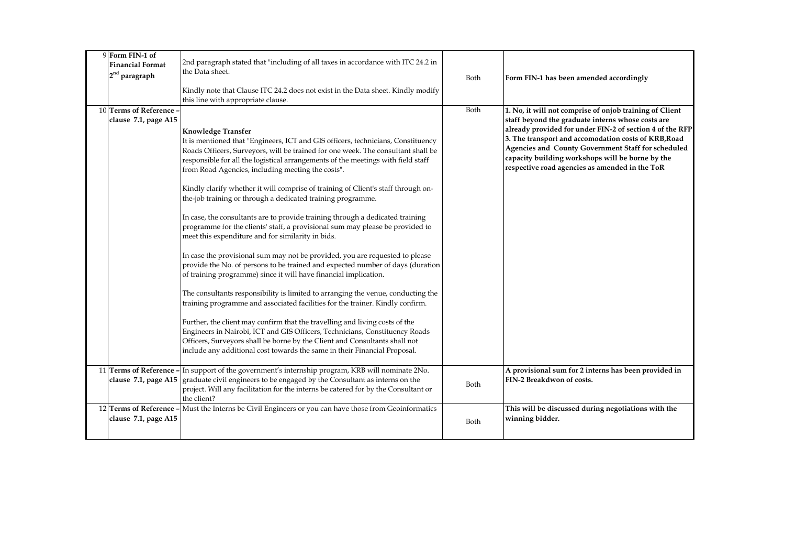| 9 Form FIN-1 of<br><b>Financial Format</b><br>2 <sup>nd</sup> paragraph | 2nd paragraph stated that "including of all taxes in accordance with ITC 24.2 in<br>the Data sheet.<br>Kindly note that Clause ITC 24.2 does not exist in the Data sheet. Kindly modify                                                                                                                                                                                                                                                                                                                                                                                                                                                                                                                                                                                                                                                                                                                                                                                                                                                                                                                                                                                                                                                                                                                                                                                                                                                                   | Both | Form FIN-1 has been amended accordingly                                                                                                                                                                                                                                                                                                                                                      |
|-------------------------------------------------------------------------|-----------------------------------------------------------------------------------------------------------------------------------------------------------------------------------------------------------------------------------------------------------------------------------------------------------------------------------------------------------------------------------------------------------------------------------------------------------------------------------------------------------------------------------------------------------------------------------------------------------------------------------------------------------------------------------------------------------------------------------------------------------------------------------------------------------------------------------------------------------------------------------------------------------------------------------------------------------------------------------------------------------------------------------------------------------------------------------------------------------------------------------------------------------------------------------------------------------------------------------------------------------------------------------------------------------------------------------------------------------------------------------------------------------------------------------------------------------|------|----------------------------------------------------------------------------------------------------------------------------------------------------------------------------------------------------------------------------------------------------------------------------------------------------------------------------------------------------------------------------------------------|
|                                                                         | this line with appropriate clause.                                                                                                                                                                                                                                                                                                                                                                                                                                                                                                                                                                                                                                                                                                                                                                                                                                                                                                                                                                                                                                                                                                                                                                                                                                                                                                                                                                                                                        |      |                                                                                                                                                                                                                                                                                                                                                                                              |
| 10 Terms of Reference<br>clause 7.1, page A15                           | <b>Knowledge Transfer</b><br>It is mentioned that "Engineers, ICT and GIS officers, technicians, Constituency<br>Roads Officers, Surveyors, will be trained for one week. The consultant shall be<br>responsible for all the logistical arrangements of the meetings with field staff<br>from Road Agencies, including meeting the costs".<br>Kindly clarify whether it will comprise of training of Client's staff through on-<br>the-job training or through a dedicated training programme.<br>In case, the consultants are to provide training through a dedicated training<br>programme for the clients' staff, a provisional sum may please be provided to<br>meet this expenditure and for similarity in bids.<br>In case the provisional sum may not be provided, you are requested to please<br>provide the No. of persons to be trained and expected number of days (duration<br>of training programme) since it will have financial implication.<br>The consultants responsibility is limited to arranging the venue, conducting the<br>training programme and associated facilities for the trainer. Kindly confirm.<br>Further, the client may confirm that the travelling and living costs of the<br>Engineers in Nairobi, ICT and GIS Officers, Technicians, Constituency Roads<br>Officers, Surveyors shall be borne by the Client and Consultants shall not<br>include any additional cost towards the same in their Financial Proposal. | Both | 1. No, it will not comprise of onjob training of Client<br>staff beyond the graduate interns whose costs are<br>already provided for under FIN-2 of section 4 of the RFP<br>3. The transport and accomodation costs of KRB, Road<br>Agencies and County Government Staff for scheduled<br>capacity building workshops will be borne by the<br>respective road agencies as amended in the ToR |
|                                                                         | 11 Terms of Reference - In support of the government's internship program, KRB will nominate 2No.<br>clause $7.1$ , page A15 $ $ graduate civil engineers to be engaged by the Consultant as interns on the<br>project. Will any facilitation for the interns be catered for by the Consultant or<br>the client?                                                                                                                                                                                                                                                                                                                                                                                                                                                                                                                                                                                                                                                                                                                                                                                                                                                                                                                                                                                                                                                                                                                                          | Both | A provisional sum for 2 interns has been provided in<br>FIN-2 Breakdwon of costs.                                                                                                                                                                                                                                                                                                            |
| 12 Terms of Reference<br>clause 7.1, page A15                           | Must the Interns be Civil Engineers or you can have those from Geoinformatics                                                                                                                                                                                                                                                                                                                                                                                                                                                                                                                                                                                                                                                                                                                                                                                                                                                                                                                                                                                                                                                                                                                                                                                                                                                                                                                                                                             | Both | This will be discussed during negotiations with the<br>winning bidder.                                                                                                                                                                                                                                                                                                                       |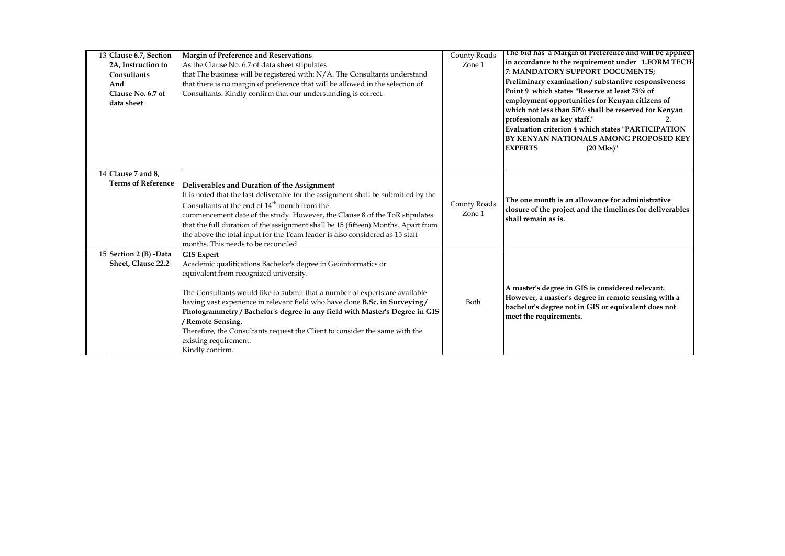| 13 Clause 6.7, Section<br>2A, Instruction to<br>Consultants<br>And<br>Clause No. 6.7 of<br>data sheet | Margin of Preference and Reservations<br>As the Clause No. 6.7 of data sheet stipulates<br>that The business will be registered with: N/A. The Consultants understand<br>that there is no margin of preference that will be allowed in the selection of<br>Consultants. Kindly confirm that our understanding is correct.                                                                                                                                                                                                 | County Roads<br>Zone 1 | The bid has a Margin of Preference and will be applied<br>in accordance to the requirement under 1.FORM TECH-<br>7: MANDATORY SUPPORT DOCUMENTS;<br>Preliminary examination / substantive responsiveness<br>Point 9 which states "Reserve at least 75% of<br>employment opportunities for Kenyan citizens of<br>which not less than 50% shall be reserved for Kenyan<br>professionals as key staff."<br><b>Evaluation criterion 4 which states "PARTICIPATION</b><br><b>BY KENYAN NATIONALS AMONG PROPOSED KEY</b><br><b>EXPERTS</b><br>$(20$ Mks)" |
|-------------------------------------------------------------------------------------------------------|---------------------------------------------------------------------------------------------------------------------------------------------------------------------------------------------------------------------------------------------------------------------------------------------------------------------------------------------------------------------------------------------------------------------------------------------------------------------------------------------------------------------------|------------------------|-----------------------------------------------------------------------------------------------------------------------------------------------------------------------------------------------------------------------------------------------------------------------------------------------------------------------------------------------------------------------------------------------------------------------------------------------------------------------------------------------------------------------------------------------------|
| 14 Clause 7 and 8.<br><b>Terms of Reference</b>                                                       | Deliverables and Duration of the Assignment<br>It is noted that the last deliverable for the assignment shall be submitted by the<br>Consultants at the end of 14 <sup>th</sup> month from the<br>commencement date of the study. However, the Clause 8 of the ToR stipulates<br>that the full duration of the assignment shall be 15 (fifteen) Months. Apart from<br>the above the total input for the Team leader is also considered as 15 staff<br>months. This needs to be reconciled.                                | County Roads<br>Zone 1 | The one month is an allowance for administrative<br>closure of the project and the timelines for deliverables<br>shall remain as is.                                                                                                                                                                                                                                                                                                                                                                                                                |
| 15 Section 2 (B) -Data<br>Sheet, Clause 22.2                                                          | <b>GIS Expert</b><br>Academic qualifications Bachelor's degree in Geoinformatics or<br>equivalent from recognized university.<br>The Consultants would like to submit that a number of experts are available<br>having vast experience in relevant field who have done B.Sc. in Surveying/<br>Photogrammetry / Bachelor's degree in any field with Master's Degree in GIS<br>/ Remote Sensing.<br>Therefore, the Consultants request the Client to consider the same with the<br>existing requirement.<br>Kindly confirm. | Both                   | A master's degree in GIS is considered relevant.<br>However, a master's degree in remote sensing with a<br>bachelor's degree not in GIS or equivalent does not<br>meet the requirements.                                                                                                                                                                                                                                                                                                                                                            |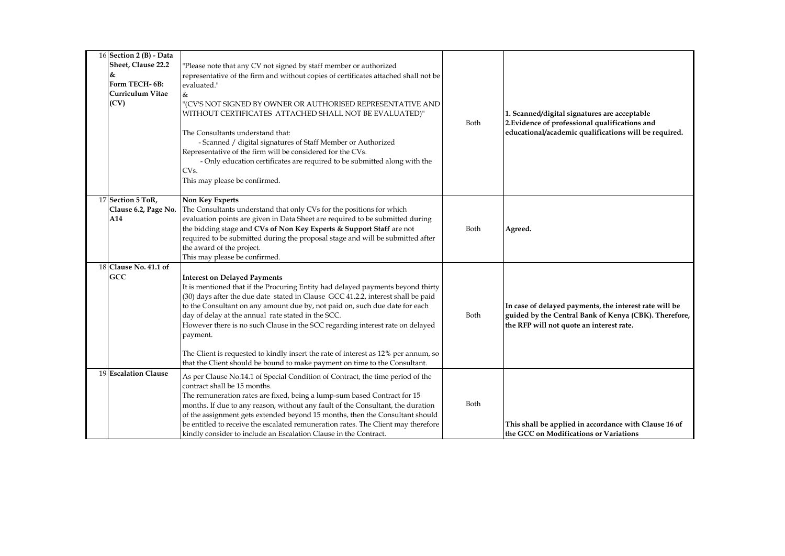| 16 Section 2 (B) - Data<br>Sheet, Clause 22.2<br>&<br>Form TECH-6B:<br>Curriculum Vitae<br>(CV) | 'Please note that any CV not signed by staff member or authorized<br>representative of the firm and without copies of certificates attached shall not be<br>evaluated."<br>&<br>"(CV'S NOT SIGNED BY OWNER OR AUTHORISED REPRESENTATIVE AND<br>WITHOUT CERTIFICATES ATTACHED SHALL NOT BE EVALUATED)"<br>The Consultants understand that:<br>- Scanned / digital signatures of Staff Member or Authorized<br>Representative of the firm will be considered for the CVs.<br>- Only education certificates are required to be submitted along with the<br>CV <sub>s</sub> .<br>This may please be confirmed.       | Both | 1. Scanned/digital signatures are acceptable<br>2. Evidence of professional qualifications and<br>educational/academic qualifications will be required.     |
|-------------------------------------------------------------------------------------------------|------------------------------------------------------------------------------------------------------------------------------------------------------------------------------------------------------------------------------------------------------------------------------------------------------------------------------------------------------------------------------------------------------------------------------------------------------------------------------------------------------------------------------------------------------------------------------------------------------------------|------|-------------------------------------------------------------------------------------------------------------------------------------------------------------|
| 17 Section 5 ToR,<br>Clause 6.2, Page No.<br>A14                                                | <b>Non Key Experts</b><br>The Consultants understand that only CVs for the positions for which<br>evaluation points are given in Data Sheet are required to be submitted during<br>the bidding stage and CVs of Non Key Experts & Support Staff are not<br>required to be submitted during the proposal stage and will be submitted after<br>the award of the project.<br>This may please be confirmed.                                                                                                                                                                                                          | Both | Agreed.                                                                                                                                                     |
| 18 Clause No. 41.1 of<br>GCC                                                                    | <b>Interest on Delayed Payments</b><br>It is mentioned that if the Procuring Entity had delayed payments beyond thirty<br>(30) days after the due date stated in Clause GCC 41.2.2, interest shall be paid<br>to the Consultant on any amount due by, not paid on, such due date for each<br>day of delay at the annual rate stated in the SCC.<br>However there is no such Clause in the SCC regarding interest rate on delayed<br>payment.<br>The Client is requested to kindly insert the rate of interest as 12% per annum, so<br>that the Client should be bound to make payment on time to the Consultant. | Both | In case of delayed payments, the interest rate will be<br>guided by the Central Bank of Kenya (CBK). Therefore,<br>the RFP will not quote an interest rate. |
| 19 Escalation Clause                                                                            | As per Clause No.14.1 of Special Condition of Contract, the time period of the<br>contract shall be 15 months.<br>The remuneration rates are fixed, being a lump-sum based Contract for 15<br>months. If due to any reason, without any fault of the Consultant, the duration<br>of the assignment gets extended beyond 15 months, then the Consultant should<br>be entitled to receive the escalated remuneration rates. The Client may therefore<br>kindly consider to include an Escalation Clause in the Contract.                                                                                           | Both | This shall be applied in accordance with Clause 16 of<br>the GCC on Modifications or Variations                                                             |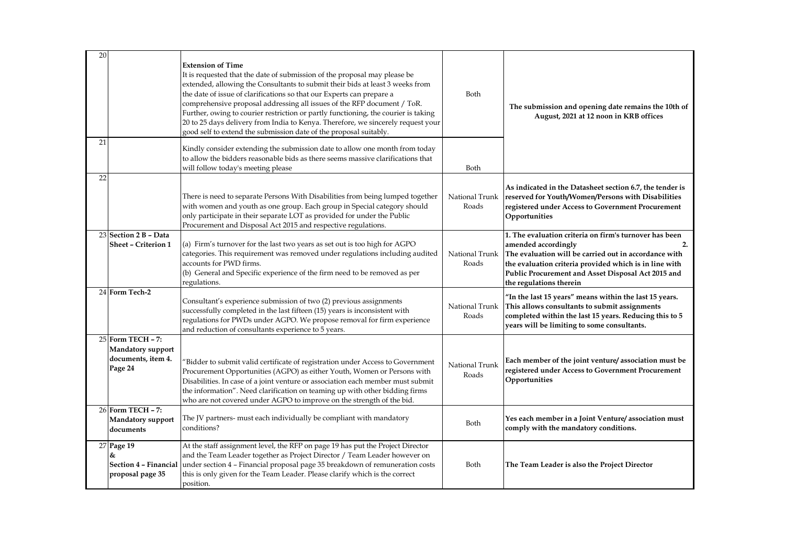| 20 |                                                                                | <b>Extension of Time</b><br>It is requested that the date of submission of the proposal may please be<br>extended, allowing the Consultants to submit their bids at least 3 weeks from<br>the date of issue of clarifications so that our Experts can prepare a<br>comprehensive proposal addressing all issues of the RFP document / ToR.<br>Further, owing to courier restriction or partly functioning, the courier is taking<br>20 to 25 days delivery from India to Kenya. Therefore, we sincerely request your<br>good self to extend the submission date of the proposal suitably. | Both                    | The submission and opening date remains the 10th of<br>August, 2021 at 12 noon in KRB offices                                                                                                                                                                                           |
|----|--------------------------------------------------------------------------------|-------------------------------------------------------------------------------------------------------------------------------------------------------------------------------------------------------------------------------------------------------------------------------------------------------------------------------------------------------------------------------------------------------------------------------------------------------------------------------------------------------------------------------------------------------------------------------------------|-------------------------|-----------------------------------------------------------------------------------------------------------------------------------------------------------------------------------------------------------------------------------------------------------------------------------------|
| 21 |                                                                                | Kindly consider extending the submission date to allow one month from today<br>to allow the bidders reasonable bids as there seems massive clarifications that<br>will follow today's meeting please                                                                                                                                                                                                                                                                                                                                                                                      | Both                    |                                                                                                                                                                                                                                                                                         |
| 22 |                                                                                | There is need to separate Persons With Disabilities from being lumped together<br>with women and youth as one group. Each group in Special category should<br>only participate in their separate LOT as provided for under the Public<br>Procurement and Disposal Act 2015 and respective regulations.                                                                                                                                                                                                                                                                                    | National Trunk<br>Roads | As indicated in the Datasheet section 6.7, the tender is<br>reserved for Youth/Women/Persons with Disabilities<br>registered under Access to Government Procurement<br>Opportunities                                                                                                    |
|    | 23 Section 2 B - Data<br><b>Sheet - Criterion 1</b>                            | (a) Firm's turnover for the last two years as set out is too high for AGPO<br>categories. This requirement was removed under regulations including audited<br>accounts for PWD firms.<br>(b) General and Specific experience of the firm need to be removed as per<br>regulations.                                                                                                                                                                                                                                                                                                        | National Trunk<br>Roads | 1. The evaluation criteria on firm's turnover has been<br>amended accordingly<br>2.<br>The evaluation will be carried out in accordance with<br>the evaluation criteria provided which is in line with<br>Public Procurement and Asset Disposal Act 2015 and<br>the regulations therein |
|    | 24 Form Tech-2                                                                 | Consultant's experience submission of two (2) previous assignments<br>successfully completed in the last fifteen (15) years is inconsistent with<br>regulations for PWDs under AGPO. We propose removal for firm experience<br>and reduction of consultants experience to 5 years.                                                                                                                                                                                                                                                                                                        | National Trunk<br>Roads | "In the last 15 years" means within the last 15 years.<br>This allows consultants to submit assignments<br>completed within the last 15 years. Reducing this to 5<br>years will be limiting to some consultants.                                                                        |
|    | 25 Form TECH - 7:<br><b>Mandatory support</b><br>documents, item 4.<br>Page 24 | 'Bidder to submit valid certificate of registration under Access to Government<br>Procurement Opportunities (AGPO) as either Youth, Women or Persons with<br>Disabilities. In case of a joint venture or association each member must submit<br>the information". Need clarification on teaming up with other bidding firms<br>who are not covered under AGPO to improve on the strength of the bid.                                                                                                                                                                                      | National Trunk<br>Roads | Each member of the joint venture/association must be<br>registered under Access to Government Procurement<br>Opportunities                                                                                                                                                              |
|    | 26 Form TECH - 7:<br><b>Mandatory support</b><br>documents                     | The JV partners- must each individually be compliant with mandatory<br>conditions?                                                                                                                                                                                                                                                                                                                                                                                                                                                                                                        | Both                    | Yes each member in a Joint Venture/association must<br>comply with the mandatory conditions.                                                                                                                                                                                            |
|    | 27 Page 19<br>&<br>Section 4 - Financial<br>proposal page 35                   | At the staff assignment level, the RFP on page 19 has put the Project Director<br>and the Team Leader together as Project Director / Team Leader however on<br>under section 4 - Financial proposal page 35 breakdown of remuneration costs<br>this is only given for the Team Leader. Please clarify which is the correct<br>position.                                                                                                                                                                                                                                                   | Both                    | The Team Leader is also the Project Director                                                                                                                                                                                                                                            |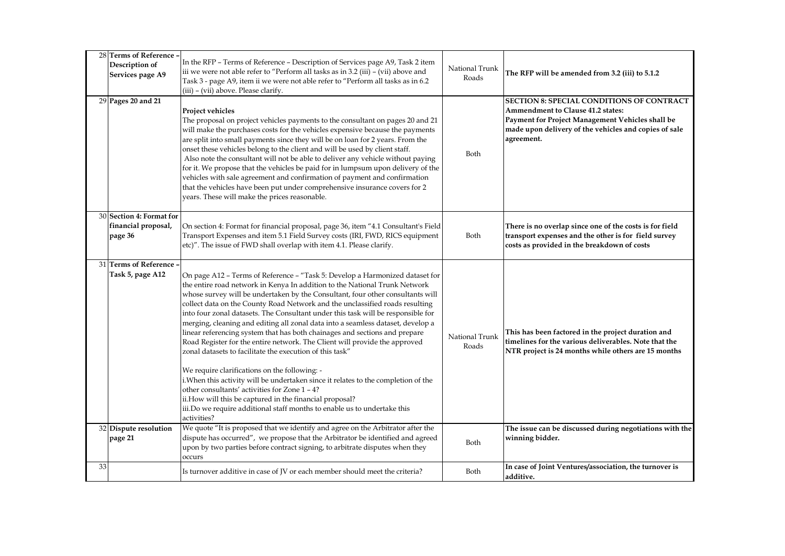|    | 28 Terms of Reference -<br>Description of<br>Services page A9 | In the RFP - Terms of Reference - Description of Services page A9, Task 2 item<br>iii we were not able refer to "Perform all tasks as in 3.2 (iii) - (vii) above and<br>Task 3 - page A9, item ii we were not able refer to "Perform all tasks as in 6.2<br>(iii) – (vii) above. Please clarify.                                                                                                                                                                                                                                                                                                                                                                                                                                                                                                                                                                                                                                                                                                                                                                          | National Trunk<br>Roads | The RFP will be amended from 3.2 (iii) to 5.1.2                                                                                                                                                                  |
|----|---------------------------------------------------------------|---------------------------------------------------------------------------------------------------------------------------------------------------------------------------------------------------------------------------------------------------------------------------------------------------------------------------------------------------------------------------------------------------------------------------------------------------------------------------------------------------------------------------------------------------------------------------------------------------------------------------------------------------------------------------------------------------------------------------------------------------------------------------------------------------------------------------------------------------------------------------------------------------------------------------------------------------------------------------------------------------------------------------------------------------------------------------|-------------------------|------------------------------------------------------------------------------------------------------------------------------------------------------------------------------------------------------------------|
|    | 29 Pages 20 and 21                                            | Project vehicles<br>The proposal on project vehicles payments to the consultant on pages 20 and 21<br>will make the purchases costs for the vehicles expensive because the payments<br>are split into small payments since they will be on loan for 2 years. From the<br>onset these vehicles belong to the client and will be used by client staff.<br>Also note the consultant will not be able to deliver any vehicle without paying<br>for it. We propose that the vehicles be paid for in lumpsum upon delivery of the<br>vehicles with sale agreement and confirmation of payment and confirmation<br>that the vehicles have been put under comprehensive insurance covers for 2<br>years. These will make the prices reasonable.                                                                                                                                                                                                                                                                                                                                   | Both                    | <b>SECTION 8: SPECIAL CONDITIONS OF CONTRACT</b><br>Ammendment to Clause 41.2 states:<br>Payment for Project Management Vehicles shall be<br>made upon delivery of the vehicles and copies of sale<br>agreement. |
|    | 30 Section 4: Format for<br>financial proposal,<br>page 36    | On section 4: Format for financial proposal, page 36, item "4.1 Consultant's Field<br>Transport Expenses and item 5.1 Field Survey costs (IRI, FWD, RICS equipment<br>etc)". The issue of FWD shall overlap with item 4.1. Please clarify.                                                                                                                                                                                                                                                                                                                                                                                                                                                                                                                                                                                                                                                                                                                                                                                                                                | Both                    | There is no overlap since one of the costs is for field<br>transport expenses and the other is for field survey<br>costs as provided in the breakdown of costs                                                   |
|    | 31 Terms of Reference -<br>Task 5, page A12                   | On page A12 - Terms of Reference - "Task 5: Develop a Harmonized dataset for<br>the entire road network in Kenya In addition to the National Trunk Network<br>whose survey will be undertaken by the Consultant, four other consultants will<br>collect data on the County Road Network and the unclassified roads resulting<br>into four zonal datasets. The Consultant under this task will be responsible for<br>merging, cleaning and editing all zonal data into a seamless dataset, develop a<br>linear referencing system that has both chainages and sections and prepare<br>Road Register for the entire network. The Client will provide the approved<br>zonal datasets to facilitate the execution of this task"<br>We require clarifications on the following: -<br>i. When this activity will be undertaken since it relates to the completion of the<br>other consultants' activities for Zone 1 - 4?<br>ii.How will this be captured in the financial proposal?<br>iii.Do we require additional staff months to enable us to undertake this<br>activities? | National Trunk<br>Roads | This has been factored in the project duration and<br>timelines for the various deliverables. Note that the<br>NTR project is 24 months while others are 15 months                                               |
|    | 32 Dispute resolution<br>page 21                              | We quote "It is proposed that we identify and agree on the Arbitrator after the<br>dispute has occurred", we propose that the Arbitrator be identified and agreed<br>upon by two parties before contract signing, to arbitrate disputes when they<br>occurs                                                                                                                                                                                                                                                                                                                                                                                                                                                                                                                                                                                                                                                                                                                                                                                                               | Both                    | The issue can be discussed during negotiations with the<br>winning bidder.                                                                                                                                       |
| 33 |                                                               | Is turnover additive in case of JV or each member should meet the criteria?                                                                                                                                                                                                                                                                                                                                                                                                                                                                                                                                                                                                                                                                                                                                                                                                                                                                                                                                                                                               | Both                    | In case of Joint Ventures/association, the turnover is<br>additive.                                                                                                                                              |